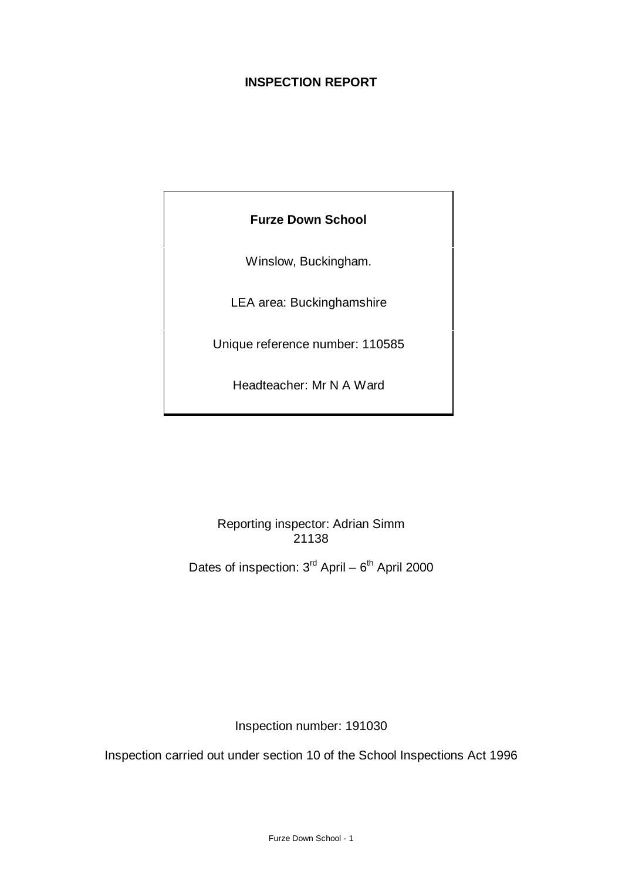# **INSPECTION REPORT**

# **Furze Down School**

Winslow, Buckingham.

LEA area: Buckinghamshire

Unique reference number: 110585

Headteacher: Mr N A Ward

Reporting inspector: Adrian Simm 21138

Dates of inspection:  $3^{\text{rd}}$  April –  $6^{\text{th}}$  April 2000

Inspection number: 191030

Inspection carried out under section 10 of the School Inspections Act 1996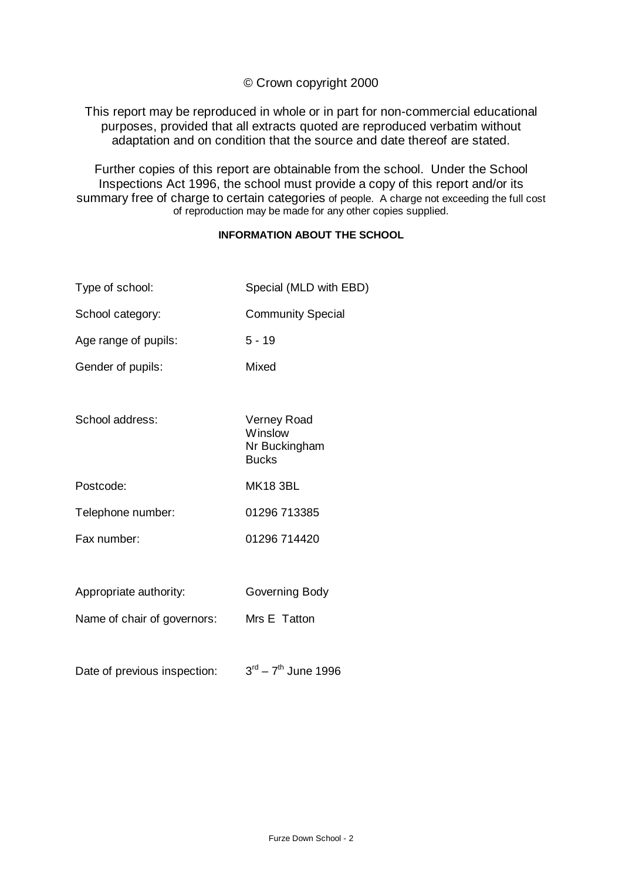## © Crown copyright 2000

This report may be reproduced in whole or in part for non-commercial educational purposes, provided that all extracts quoted are reproduced verbatim without adaptation and on condition that the source and date thereof are stated.

Further copies of this report are obtainable from the school. Under the School Inspections Act 1996, the school must provide a copy of this report and/or its summary free of charge to certain categories of people. A charge not exceeding the full cost of reproduction may be made for any other copies supplied.

#### **INFORMATION ABOUT THE SCHOOL**

| Type of school:             | Special (MLD with EBD)                                  |
|-----------------------------|---------------------------------------------------------|
| School category:            | <b>Community Special</b>                                |
| Age range of pupils:        | $5 - 19$                                                |
| Gender of pupils:           | Mixed                                                   |
|                             |                                                         |
| School address:             | Verney Road<br>Winslow<br>Nr Buckingham<br><b>Bucks</b> |
| Postcode:                   | <b>MK18 3BL</b>                                         |
| Telephone number:           | 01296 713385                                            |
| Fax number:                 | 01296 714420                                            |
|                             |                                                         |
| Appropriate authority:      | Governing Body                                          |
| Name of chair of governors: | Mrs E Tatton                                            |

Date of previous inspection:  $3<sup>rd</sup> - 7<sup>th</sup>$  June 1996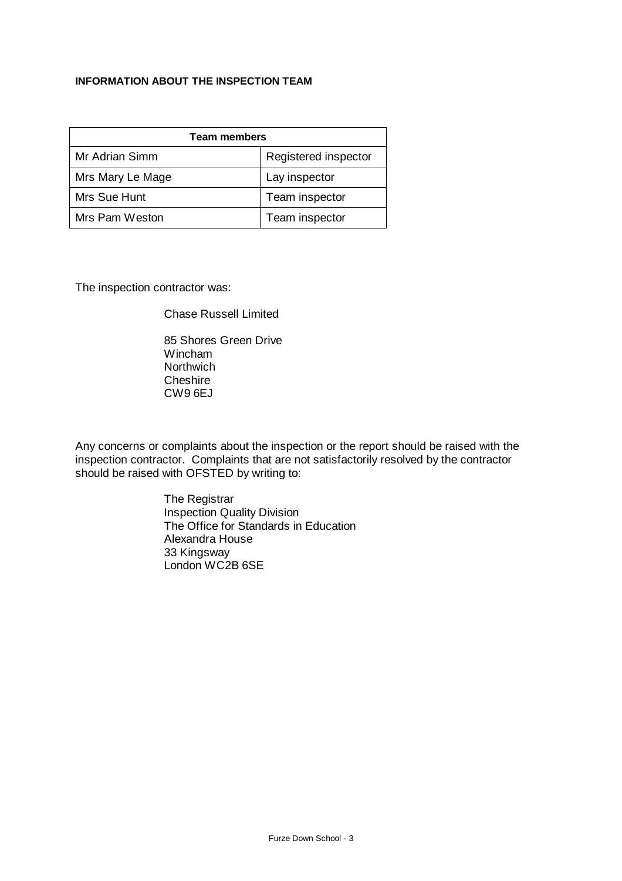#### **INFORMATION ABOUT THE INSPECTION TEAM**

| <b>Team members</b> |                      |  |  |
|---------------------|----------------------|--|--|
| Mr Adrian Simm      | Registered inspector |  |  |
| Mrs Mary Le Mage    | Lay inspector        |  |  |
| Mrs Sue Hunt        | Team inspector       |  |  |
| Mrs Pam Weston      | Team inspector       |  |  |

The inspection contractor was:

Chase Russell Limited

85 Shores Green Drive Wincham **Northwich Cheshire** CW9 6EJ

Any concerns or complaints about the inspection or the report should be raised with the inspection contractor. Complaints that are not satisfactorily resolved by the contractor should be raised with OFSTED by writing to:

> The Registrar Inspection Quality Division The Office for Standards in Education Alexandra House 33 Kingsway London WC2B 6SE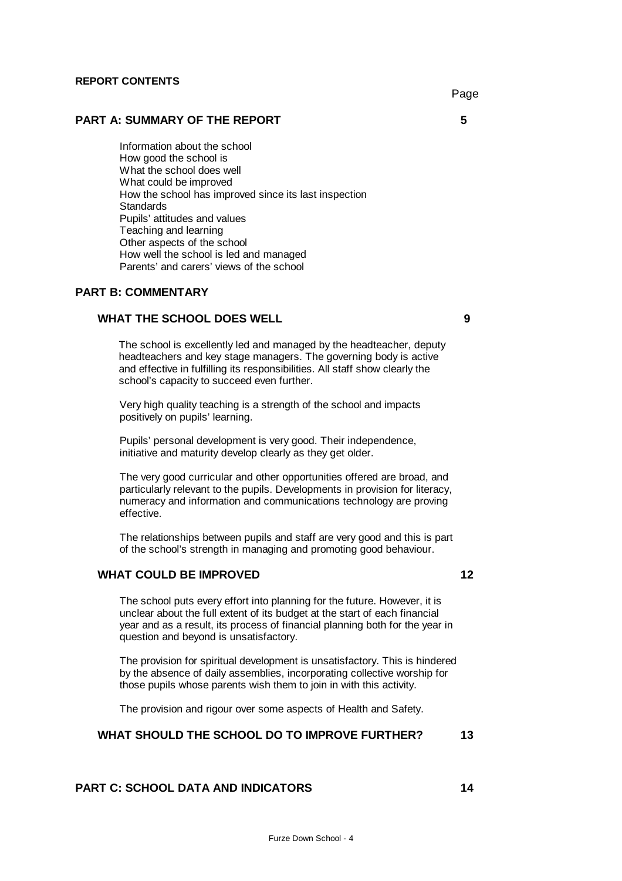#### **REPORT CONTENTS**

#### **PART A: SUMMARY OF THE REPORT 5**

Information about the school How good the school is What the school does well What could be improved How the school has improved since its last inspection **Standards** Pupils' attitudes and values Teaching and learning Other aspects of the school How well the school is led and managed Parents' and carers' views of the school

#### **PART B: COMMENTARY**

#### **WHAT THE SCHOOL DOES WELL 9**

 The school is excellently led and managed by the headteacher, deputy headteachers and key stage managers. The governing body is active and effective in fulfilling its responsibilities. All staff show clearly the school's capacity to succeed even further.

Very high quality teaching is a strength of the school and impacts positively on pupils' learning.

Pupils' personal development is very good. Their independence, initiative and maturity develop clearly as they get older.

The very good curricular and other opportunities offered are broad, and particularly relevant to the pupils. Developments in provision for literacy, numeracy and information and communications technology are proving effective.

The relationships between pupils and staff are very good and this is part of the school's strength in managing and promoting good behaviour.

#### **WHAT COULD BE IMPROVED 12**

The school puts every effort into planning for the future. However, it is unclear about the full extent of its budget at the start of each financial year and as a result, its process of financial planning both for the year in question and beyond is unsatisfactory.

The provision for spiritual development is unsatisfactory. This is hindered by the absence of daily assemblies, incorporating collective worship for those pupils whose parents wish them to join in with this activity.

The provision and rigour over some aspects of Health and Safety.

#### **WHAT SHOULD THE SCHOOL DO TO IMPROVE FURTHER? 13**

## **PART C: SCHOOL DATA AND INDICATORS 14**

Page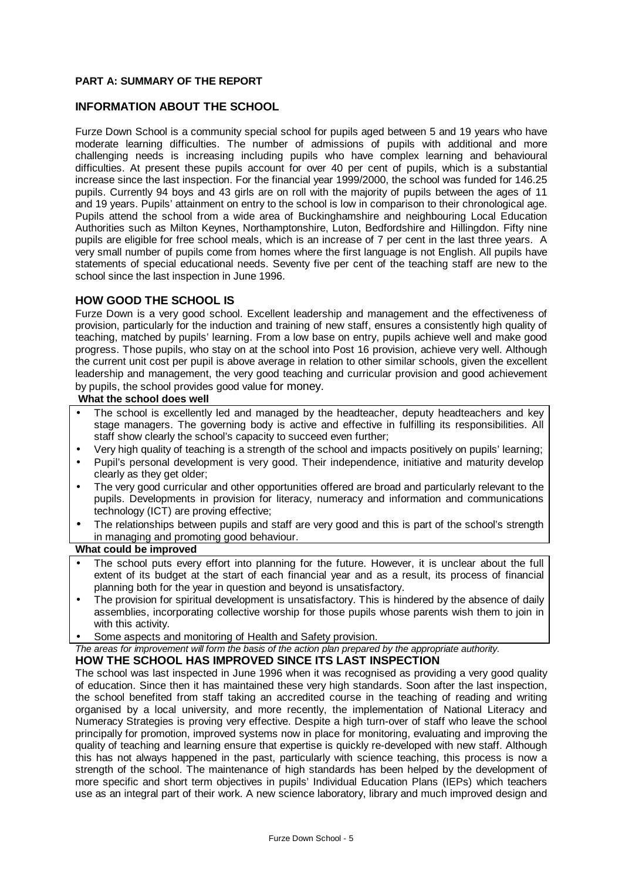#### **PART A: SUMMARY OF THE REPORT**

#### **INFORMATION ABOUT THE SCHOOL**

Furze Down School is a community special school for pupils aged between 5 and 19 years who have moderate learning difficulties. The number of admissions of pupils with additional and more challenging needs is increasing including pupils who have complex learning and behavioural difficulties. At present these pupils account for over 40 per cent of pupils, which is a substantial increase since the last inspection. For the financial year 1999/2000, the school was funded for 146.25 pupils. Currently 94 boys and 43 girls are on roll with the majority of pupils between the ages of 11 and 19 years. Pupils' attainment on entry to the school is low in comparison to their chronological age. Pupils attend the school from a wide area of Buckinghamshire and neighbouring Local Education Authorities such as Milton Keynes, Northamptonshire, Luton, Bedfordshire and Hillingdon. Fifty nine pupils are eligible for free school meals, which is an increase of 7 per cent in the last three years. A very small number of pupils come from homes where the first language is not English. All pupils have statements of special educational needs. Seventy five per cent of the teaching staff are new to the school since the last inspection in June 1996.

#### **HOW GOOD THE SCHOOL IS**

Furze Down is a very good school. Excellent leadership and management and the effectiveness of provision, particularly for the induction and training of new staff, ensures a consistently high quality of teaching, matched by pupils' learning. From a low base on entry, pupils achieve well and make good progress. Those pupils, who stay on at the school into Post 16 provision, achieve very well. Although the current unit cost per pupil is above average in relation to other similar schools, given the excellent leadership and management, the very good teaching and curricular provision and good achievement by pupils, the school provides good value for money.

#### **What the school does well**

- The school is excellently led and managed by the headteacher, deputy headteachers and key stage managers. The governing body is active and effective in fulfilling its responsibilities. All staff show clearly the school's capacity to succeed even further;
- Very high quality of teaching is a strength of the school and impacts positively on pupils' learning;
- Pupil's personal development is very good. Their independence, initiative and maturity develop clearly as they get older;
- The very good curricular and other opportunities offered are broad and particularly relevant to the pupils. Developments in provision for literacy, numeracy and information and communications technology (ICT) are proving effective;
- The relationships between pupils and staff are very good and this is part of the school's strength in managing and promoting good behaviour.

#### **What could be improved**

- The school puts every effort into planning for the future. However, it is unclear about the full extent of its budget at the start of each financial year and as a result, its process of financial planning both for the year in question and beyond is unsatisfactory.
- The provision for spiritual development is unsatisfactory. This is hindered by the absence of daily assemblies, incorporating collective worship for those pupils whose parents wish them to join in with this activity.
- Some aspects and monitoring of Health and Safety provision.

*The areas for improvement will form the basis of the action plan prepared by the appropriate authority.*

#### **HOW THE SCHOOL HAS IMPROVED SINCE ITS LAST INSPECTION**

The school was last inspected in June 1996 when it was recognised as providing a very good quality of education. Since then it has maintained these very high standards. Soon after the last inspection, the school benefited from staff taking an accredited course in the teaching of reading and writing organised by a local university, and more recently, the implementation of National Literacy and Numeracy Strategies is proving very effective. Despite a high turn-over of staff who leave the school principally for promotion, improved systems now in place for monitoring, evaluating and improving the quality of teaching and learning ensure that expertise is quickly re-developed with new staff. Although this has not always happened in the past, particularly with science teaching, this process is now a strength of the school. The maintenance of high standards has been helped by the development of more specific and short term objectives in pupils' Individual Education Plans (IEPs) which teachers use as an integral part of their work. A new science laboratory, library and much improved design and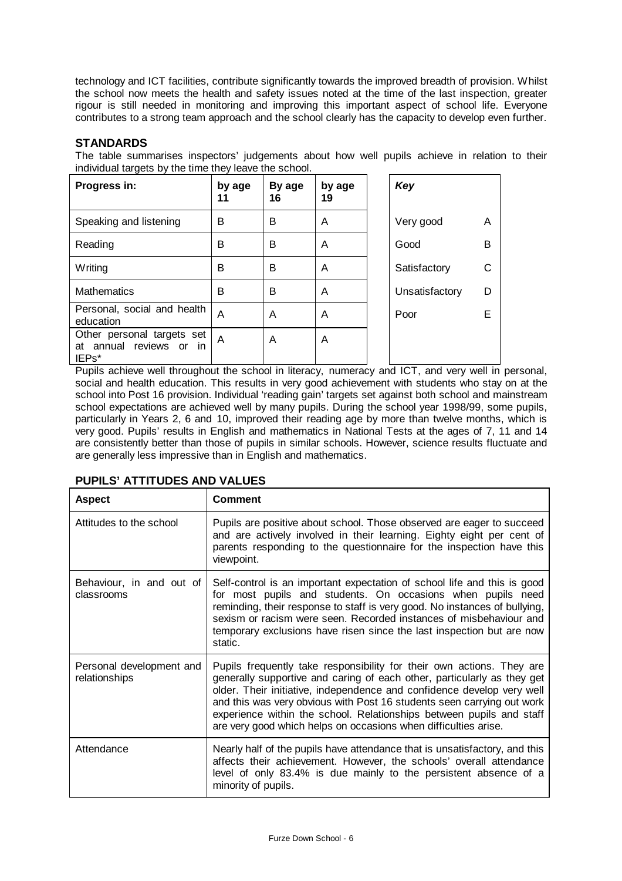technology and ICT facilities, contribute significantly towards the improved breadth of provision. Whilst the school now meets the health and safety issues noted at the time of the last inspection, greater rigour is still needed in monitoring and improving this important aspect of school life. Everyone contributes to a strong team approach and the school clearly has the capacity to develop even further.

## **STANDARDS**

The table summarises inspectors' judgements about how well pupils achieve in relation to their individual targets by the time they leave the school.

| Progress in:                                                                    | by age<br>11 | By age<br>16 | by age<br>19 | Key            |   |
|---------------------------------------------------------------------------------|--------------|--------------|--------------|----------------|---|
| Speaking and listening                                                          | в            | в            | A            | Very good      | A |
| Reading                                                                         | в            | B            | A            | Good           | B |
| Writing                                                                         | в            | B            | A            | Satisfactory   | C |
| <b>Mathematics</b>                                                              | в            | B            | A            | Unsatisfactory | D |
| Personal, social and health<br>education                                        | Α            | Α            | A            | Poor           | Е |
| Other personal targets set<br>at annual reviews or<br>in.<br>IEP <sub>s</sub> * | A            | Α            | A            |                |   |

Pupils achieve well throughout the school in literacy, numeracy and ICT, and very well in personal, social and health education. This results in very good achievement with students who stay on at the school into Post 16 provision. Individual 'reading gain' targets set against both school and mainstream school expectations are achieved well by many pupils. During the school year 1998/99, some pupils, particularly in Years 2, 6 and 10, improved their reading age by more than twelve months, which is very good. Pupils' results in English and mathematics in National Tests at the ages of 7, 11 and 14 are consistently better than those of pupils in similar schools. However, science results fluctuate and are generally less impressive than in English and mathematics.

## **PUPILS' ATTITUDES AND VALUES**

| <b>Aspect</b>                             | <b>Comment</b>                                                                                                                                                                                                                                                                                                                                                                                                                                  |
|-------------------------------------------|-------------------------------------------------------------------------------------------------------------------------------------------------------------------------------------------------------------------------------------------------------------------------------------------------------------------------------------------------------------------------------------------------------------------------------------------------|
| Attitudes to the school                   | Pupils are positive about school. Those observed are eager to succeed<br>and are actively involved in their learning. Eighty eight per cent of<br>parents responding to the questionnaire for the inspection have this<br>viewpoint.                                                                                                                                                                                                            |
| Behaviour, in and out of<br>classrooms    | Self-control is an important expectation of school life and this is good<br>for most pupils and students. On occasions when pupils need<br>reminding, their response to staff is very good. No instances of bullying,<br>sexism or racism were seen. Recorded instances of misbehaviour and<br>temporary exclusions have risen since the last inspection but are now<br>static.                                                                 |
| Personal development and<br>relationships | Pupils frequently take responsibility for their own actions. They are<br>generally supportive and caring of each other, particularly as they get<br>older. Their initiative, independence and confidence develop very well<br>and this was very obvious with Post 16 students seen carrying out work<br>experience within the school. Relationships between pupils and staff<br>are very good which helps on occasions when difficulties arise. |
| Attendance                                | Nearly half of the pupils have attendance that is unsatisfactory, and this<br>affects their achievement. However, the schools' overall attendance<br>level of only 83.4% is due mainly to the persistent absence of a<br>minority of pupils.                                                                                                                                                                                                    |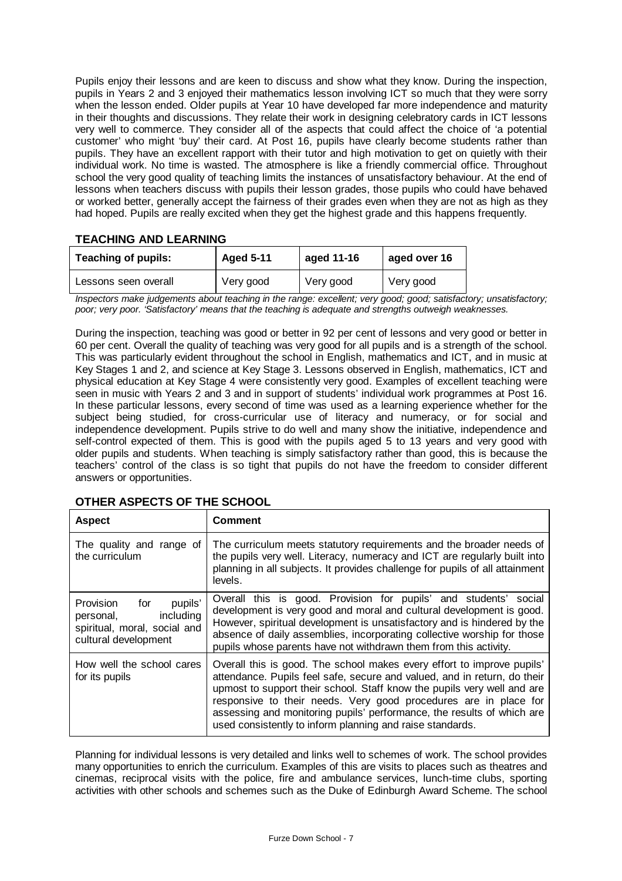Pupils enjoy their lessons and are keen to discuss and show what they know. During the inspection, pupils in Years 2 and 3 enjoyed their mathematics lesson involving ICT so much that they were sorry when the lesson ended. Older pupils at Year 10 have developed far more independence and maturity in their thoughts and discussions. They relate their work in designing celebratory cards in ICT lessons very well to commerce. They consider all of the aspects that could affect the choice of 'a potential customer' who might 'buy' their card. At Post 16, pupils have clearly become students rather than pupils. They have an excellent rapport with their tutor and high motivation to get on quietly with their individual work. No time is wasted. The atmosphere is like a friendly commercial office. Throughout school the very good quality of teaching limits the instances of unsatisfactory behaviour. At the end of lessons when teachers discuss with pupils their lesson grades, those pupils who could have behaved or worked better, generally accept the fairness of their grades even when they are not as high as they had hoped. Pupils are really excited when they get the highest grade and this happens frequently.

## **TEACHING AND LEARNING**

| <b>Teaching of pupils:</b> | <b>Aged 5-11</b> | aged 11-16 | aged over 16 |
|----------------------------|------------------|------------|--------------|
| Lessons seen overall       | Very good        | Very good  | Very good    |

*Inspectors make judgements about teaching in the range: excellent; very good; good; satisfactory; unsatisfactory; poor; very poor. 'Satisfactory' means that the teaching is adequate and strengths outweigh weaknesses.*

During the inspection, teaching was good or better in 92 per cent of lessons and very good or better in 60 per cent. Overall the quality of teaching was very good for all pupils and is a strength of the school. This was particularly evident throughout the school in English, mathematics and ICT, and in music at Key Stages 1 and 2, and science at Key Stage 3. Lessons observed in English, mathematics, ICT and physical education at Key Stage 4 were consistently very good. Examples of excellent teaching were seen in music with Years 2 and 3 and in support of students' individual work programmes at Post 16. In these particular lessons, every second of time was used as a learning experience whether for the subject being studied, for cross-curricular use of literacy and numeracy, or for social and independence development. Pupils strive to do well and many show the initiative, independence and self-control expected of them. This is good with the pupils aged 5 to 13 years and very good with older pupils and students. When teaching is simply satisfactory rather than good, this is because the teachers' control of the class is so tight that pupils do not have the freedom to consider different answers or opportunities.

| <b>Aspect</b>                                                                                                 | <b>Comment</b>                                                                                                                                                                                                                                                                                                                                                                                                                           |
|---------------------------------------------------------------------------------------------------------------|------------------------------------------------------------------------------------------------------------------------------------------------------------------------------------------------------------------------------------------------------------------------------------------------------------------------------------------------------------------------------------------------------------------------------------------|
| The quality and range of<br>the curriculum                                                                    | The curriculum meets statutory requirements and the broader needs of<br>the pupils very well. Literacy, numeracy and ICT are regularly built into<br>planning in all subjects. It provides challenge for pupils of all attainment<br>levels.                                                                                                                                                                                             |
| Provision<br>pupils'<br>for<br>including<br>personal,<br>spiritual, moral, social and<br>cultural development | Overall this is good. Provision for pupils' and students'<br>social<br>development is very good and moral and cultural development is good.<br>However, spiritual development is unsatisfactory and is hindered by the<br>absence of daily assemblies, incorporating collective worship for those<br>pupils whose parents have not withdrawn them from this activity.                                                                    |
| How well the school cares<br>for its pupils                                                                   | Overall this is good. The school makes every effort to improve pupils'<br>attendance. Pupils feel safe, secure and valued, and in return, do their<br>upmost to support their school. Staff know the pupils very well and are<br>responsive to their needs. Very good procedures are in place for<br>assessing and monitoring pupils' performance, the results of which are<br>used consistently to inform planning and raise standards. |

## **OTHER ASPECTS OF THE SCHOOL**

Planning for individual lessons is very detailed and links well to schemes of work. The school provides many opportunities to enrich the curriculum. Examples of this are visits to places such as theatres and cinemas, reciprocal visits with the police, fire and ambulance services, lunch-time clubs, sporting activities with other schools and schemes such as the Duke of Edinburgh Award Scheme. The school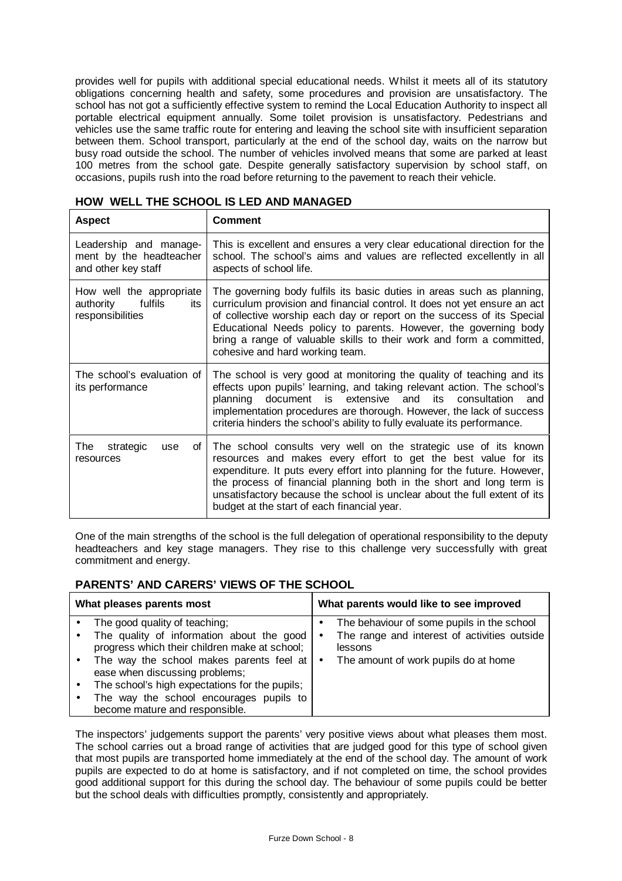provides well for pupils with additional special educational needs. Whilst it meets all of its statutory obligations concerning health and safety, some procedures and provision are unsatisfactory. The school has not got a sufficiently effective system to remind the Local Education Authority to inspect all portable electrical equipment annually. Some toilet provision is unsatisfactory. Pedestrians and vehicles use the same traffic route for entering and leaving the school site with insufficient separation between them. School transport, particularly at the end of the school day, waits on the narrow but busy road outside the school. The number of vehicles involved means that some are parked at least 100 metres from the school gate. Despite generally satisfactory supervision by school staff, on occasions, pupils rush into the road before returning to the pavement to reach their vehicle.

| <b>Aspect</b>                                                               | <b>Comment</b>                                                                                                                                                                                                                                                                                                                                                                                                    |
|-----------------------------------------------------------------------------|-------------------------------------------------------------------------------------------------------------------------------------------------------------------------------------------------------------------------------------------------------------------------------------------------------------------------------------------------------------------------------------------------------------------|
| Leadership and manage-<br>ment by the headteacher<br>and other key staff    | This is excellent and ensures a very clear educational direction for the<br>school. The school's aims and values are reflected excellently in all<br>aspects of school life.                                                                                                                                                                                                                                      |
| How well the appropriate<br>fulfils<br>authority<br>its<br>responsibilities | The governing body fulfils its basic duties in areas such as planning,<br>curriculum provision and financial control. It does not yet ensure an act<br>of collective worship each day or report on the success of its Special<br>Educational Needs policy to parents. However, the governing body<br>bring a range of valuable skills to their work and form a committed,<br>cohesive and hard working team.      |
| The school's evaluation of<br>its performance                               | The school is very good at monitoring the quality of teaching and its<br>effects upon pupils' learning, and taking relevant action. The school's<br>document is extensive and<br>planning<br>its consultation<br>and<br>implementation procedures are thorough. However, the lack of success<br>criteria hinders the school's ability to fully evaluate its performance.                                          |
| The<br>strategic<br>Οf<br>use<br>resources                                  | The school consults very well on the strategic use of its known<br>resources and makes every effort to get the best value for its<br>expenditure. It puts every effort into planning for the future. However,<br>the process of financial planning both in the short and long term is<br>unsatisfactory because the school is unclear about the full extent of its<br>budget at the start of each financial year. |

#### **HOW WELL THE SCHOOL IS LED AND MANAGED**

One of the main strengths of the school is the full delegation of operational responsibility to the deputy headteachers and key stage managers. They rise to this challenge very successfully with great commitment and energy.

## **PARENTS' AND CARERS' VIEWS OF THE SCHOOL**

| What pleases parents most |                                                                                                                                                                                                                                                                                                                                          |                             | What parents would like to see improved                                                                                                       |
|---------------------------|------------------------------------------------------------------------------------------------------------------------------------------------------------------------------------------------------------------------------------------------------------------------------------------------------------------------------------------|-----------------------------|-----------------------------------------------------------------------------------------------------------------------------------------------|
|                           | The good quality of teaching;<br>The quality of information about the good<br>progress which their children make at school;<br>The way the school makes parents feel at<br>ease when discussing problems;<br>The school's high expectations for the pupils;<br>The way the school encourages pupils to<br>become mature and responsible. | ٠<br>$\bullet$<br>$\bullet$ | The behaviour of some pupils in the school<br>The range and interest of activities outside<br>lessons<br>The amount of work pupils do at home |

The inspectors' judgements support the parents' very positive views about what pleases them most. The school carries out a broad range of activities that are judged good for this type of school given that most pupils are transported home immediately at the end of the school day. The amount of work pupils are expected to do at home is satisfactory, and if not completed on time, the school provides good additional support for this during the school day. The behaviour of some pupils could be better but the school deals with difficulties promptly, consistently and appropriately.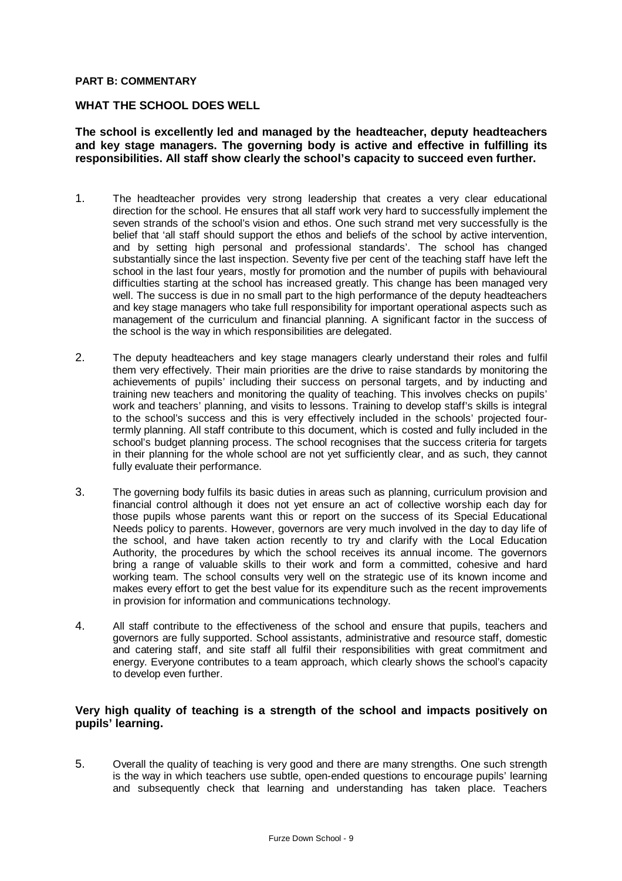#### **PART B: COMMENTARY**

#### **WHAT THE SCHOOL DOES WELL**

#### **The school is excellently led and managed by the headteacher, deputy headteachers and key stage managers. The governing body is active and effective in fulfilling its responsibilities. All staff show clearly the school's capacity to succeed even further.**

- 1. The headteacher provides very strong leadership that creates a very clear educational direction for the school. He ensures that all staff work very hard to successfully implement the seven strands of the school's vision and ethos. One such strand met very successfully is the belief that 'all staff should support the ethos and beliefs of the school by active intervention, and by setting high personal and professional standards'. The school has changed substantially since the last inspection. Seventy five per cent of the teaching staff have left the school in the last four years, mostly for promotion and the number of pupils with behavioural difficulties starting at the school has increased greatly. This change has been managed very well. The success is due in no small part to the high performance of the deputy headteachers and key stage managers who take full responsibility for important operational aspects such as management of the curriculum and financial planning. A significant factor in the success of the school is the way in which responsibilities are delegated.
- 2. The deputy headteachers and key stage managers clearly understand their roles and fulfil them very effectively. Their main priorities are the drive to raise standards by monitoring the achievements of pupils' including their success on personal targets, and by inducting and training new teachers and monitoring the quality of teaching. This involves checks on pupils' work and teachers' planning, and visits to lessons. Training to develop staff's skills is integral to the school's success and this is very effectively included in the schools' projected fourtermly planning. All staff contribute to this document, which is costed and fully included in the school's budget planning process. The school recognises that the success criteria for targets in their planning for the whole school are not yet sufficiently clear, and as such, they cannot fully evaluate their performance.
- 3. The governing body fulfils its basic duties in areas such as planning, curriculum provision and financial control although it does not yet ensure an act of collective worship each day for those pupils whose parents want this or report on the success of its Special Educational Needs policy to parents. However, governors are very much involved in the day to day life of the school, and have taken action recently to try and clarify with the Local Education Authority, the procedures by which the school receives its annual income. The governors bring a range of valuable skills to their work and form a committed, cohesive and hard working team. The school consults very well on the strategic use of its known income and makes every effort to get the best value for its expenditure such as the recent improvements in provision for information and communications technology.
- 4. All staff contribute to the effectiveness of the school and ensure that pupils, teachers and governors are fully supported. School assistants, administrative and resource staff, domestic and catering staff, and site staff all fulfil their responsibilities with great commitment and energy. Everyone contributes to a team approach, which clearly shows the school's capacity to develop even further.

#### **Very high quality of teaching is a strength of the school and impacts positively on pupils' learning.**

5. Overall the quality of teaching is very good and there are many strengths. One such strength is the way in which teachers use subtle, open-ended questions to encourage pupils' learning and subsequently check that learning and understanding has taken place. Teachers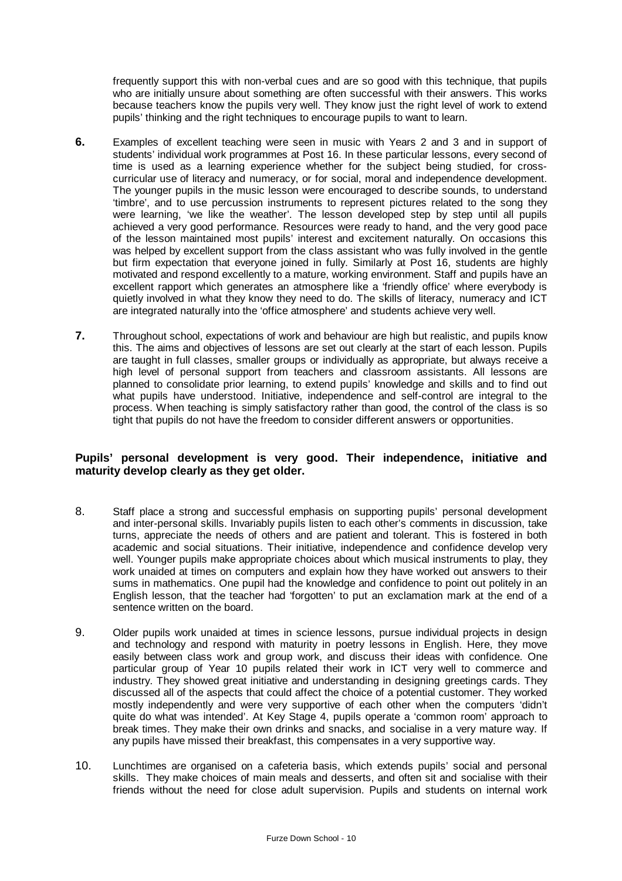frequently support this with non-verbal cues and are so good with this technique, that pupils who are initially unsure about something are often successful with their answers. This works because teachers know the pupils very well. They know just the right level of work to extend pupils' thinking and the right techniques to encourage pupils to want to learn.

- **6.** Examples of excellent teaching were seen in music with Years 2 and 3 and in support of students' individual work programmes at Post 16. In these particular lessons, every second of time is used as a learning experience whether for the subject being studied, for crosscurricular use of literacy and numeracy, or for social, moral and independence development. The younger pupils in the music lesson were encouraged to describe sounds, to understand 'timbre', and to use percussion instruments to represent pictures related to the song they were learning, 'we like the weather'. The lesson developed step by step until all pupils achieved a very good performance. Resources were ready to hand, and the very good pace of the lesson maintained most pupils' interest and excitement naturally. On occasions this was helped by excellent support from the class assistant who was fully involved in the gentle but firm expectation that everyone joined in fully. Similarly at Post 16, students are highly motivated and respond excellently to a mature, working environment. Staff and pupils have an excellent rapport which generates an atmosphere like a 'friendly office' where everybody is quietly involved in what they know they need to do. The skills of literacy, numeracy and ICT are integrated naturally into the 'office atmosphere' and students achieve very well.
- **7.** Throughout school, expectations of work and behaviour are high but realistic, and pupils know this. The aims and objectives of lessons are set out clearly at the start of each lesson. Pupils are taught in full classes, smaller groups or individually as appropriate, but always receive a high level of personal support from teachers and classroom assistants. All lessons are planned to consolidate prior learning, to extend pupils' knowledge and skills and to find out what pupils have understood. Initiative, independence and self-control are integral to the process. When teaching is simply satisfactory rather than good, the control of the class is so tight that pupils do not have the freedom to consider different answers or opportunities.

#### **Pupils' personal development is very good. Their independence, initiative and maturity develop clearly as they get older.**

- 8. Staff place a strong and successful emphasis on supporting pupils' personal development and inter-personal skills. Invariably pupils listen to each other's comments in discussion, take turns, appreciate the needs of others and are patient and tolerant. This is fostered in both academic and social situations. Their initiative, independence and confidence develop very well. Younger pupils make appropriate choices about which musical instruments to play, they work unaided at times on computers and explain how they have worked out answers to their sums in mathematics. One pupil had the knowledge and confidence to point out politely in an English lesson, that the teacher had 'forgotten' to put an exclamation mark at the end of a sentence written on the board.
- 9. Older pupils work unaided at times in science lessons, pursue individual projects in design and technology and respond with maturity in poetry lessons in English. Here, they move easily between class work and group work, and discuss their ideas with confidence. One particular group of Year 10 pupils related their work in ICT very well to commerce and industry. They showed great initiative and understanding in designing greetings cards. They discussed all of the aspects that could affect the choice of a potential customer. They worked mostly independently and were very supportive of each other when the computers 'didn't quite do what was intended'. At Key Stage 4, pupils operate a 'common room' approach to break times. They make their own drinks and snacks, and socialise in a very mature way. If any pupils have missed their breakfast, this compensates in a very supportive way.
- 10. Lunchtimes are organised on a cafeteria basis, which extends pupils' social and personal skills. They make choices of main meals and desserts, and often sit and socialise with their friends without the need for close adult supervision. Pupils and students on internal work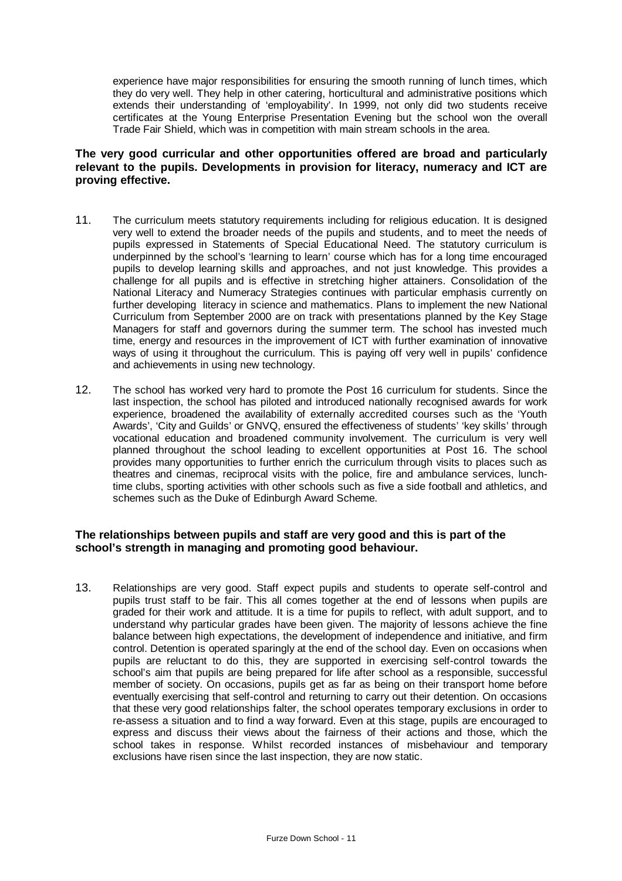experience have major responsibilities for ensuring the smooth running of lunch times, which they do very well. They help in other catering, horticultural and administrative positions which extends their understanding of 'employability'. In 1999, not only did two students receive certificates at the Young Enterprise Presentation Evening but the school won the overall Trade Fair Shield, which was in competition with main stream schools in the area.

#### **The very good curricular and other opportunities offered are broad and particularly relevant to the pupils. Developments in provision for literacy, numeracy and ICT are proving effective.**

- 11. The curriculum meets statutory requirements including for religious education. It is designed very well to extend the broader needs of the pupils and students, and to meet the needs of pupils expressed in Statements of Special Educational Need. The statutory curriculum is underpinned by the school's 'learning to learn' course which has for a long time encouraged pupils to develop learning skills and approaches, and not just knowledge. This provides a challenge for all pupils and is effective in stretching higher attainers. Consolidation of the National Literacy and Numeracy Strategies continues with particular emphasis currently on further developing literacy in science and mathematics. Plans to implement the new National Curriculum from September 2000 are on track with presentations planned by the Key Stage Managers for staff and governors during the summer term. The school has invested much time, energy and resources in the improvement of ICT with further examination of innovative ways of using it throughout the curriculum. This is paying off very well in pupils' confidence and achievements in using new technology.
- 12. The school has worked very hard to promote the Post 16 curriculum for students. Since the last inspection, the school has piloted and introduced nationally recognised awards for work experience, broadened the availability of externally accredited courses such as the 'Youth Awards', 'City and Guilds' or GNVQ, ensured the effectiveness of students' 'key skills' through vocational education and broadened community involvement. The curriculum is very well planned throughout the school leading to excellent opportunities at Post 16. The school provides many opportunities to further enrich the curriculum through visits to places such as theatres and cinemas, reciprocal visits with the police, fire and ambulance services, lunchtime clubs, sporting activities with other schools such as five a side football and athletics, and schemes such as the Duke of Edinburgh Award Scheme.

#### **The relationships between pupils and staff are very good and this is part of the school's strength in managing and promoting good behaviour.**

13. Relationships are very good. Staff expect pupils and students to operate self-control and pupils trust staff to be fair. This all comes together at the end of lessons when pupils are graded for their work and attitude. It is a time for pupils to reflect, with adult support, and to understand why particular grades have been given. The majority of lessons achieve the fine balance between high expectations, the development of independence and initiative, and firm control. Detention is operated sparingly at the end of the school day. Even on occasions when pupils are reluctant to do this, they are supported in exercising self-control towards the school's aim that pupils are being prepared for life after school as a responsible, successful member of society. On occasions, pupils get as far as being on their transport home before eventually exercising that self-control and returning to carry out their detention. On occasions that these very good relationships falter, the school operates temporary exclusions in order to re-assess a situation and to find a way forward. Even at this stage, pupils are encouraged to express and discuss their views about the fairness of their actions and those, which the school takes in response. Whilst recorded instances of misbehaviour and temporary exclusions have risen since the last inspection, they are now static.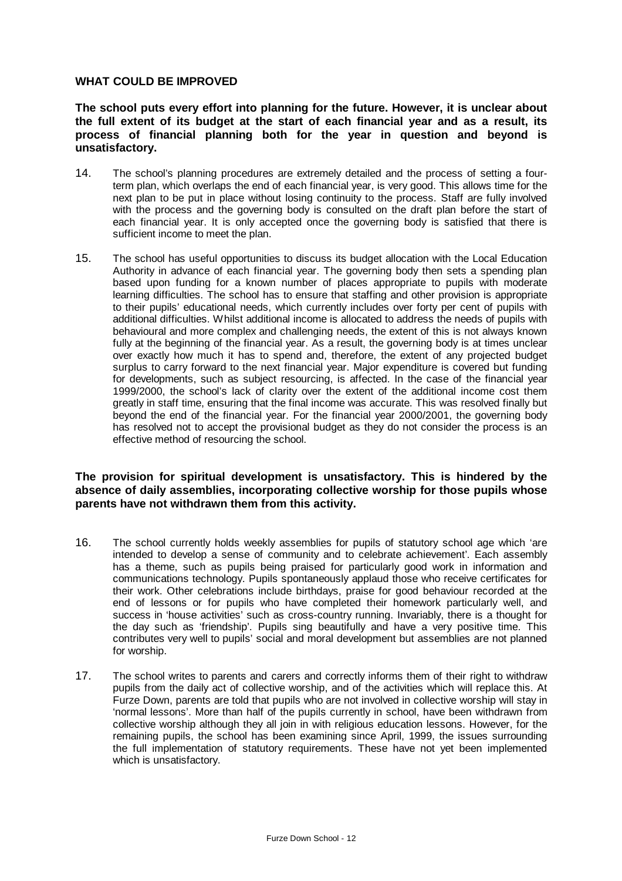#### **WHAT COULD BE IMPROVED**

**The school puts every effort into planning for the future. However, it is unclear about the full extent of its budget at the start of each financial year and as a result, its process of financial planning both for the year in question and beyond is unsatisfactory.**

- 14. The school's planning procedures are extremely detailed and the process of setting a fourterm plan, which overlaps the end of each financial year, is very good. This allows time for the next plan to be put in place without losing continuity to the process. Staff are fully involved with the process and the governing body is consulted on the draft plan before the start of each financial year. It is only accepted once the governing body is satisfied that there is sufficient income to meet the plan.
- 15. The school has useful opportunities to discuss its budget allocation with the Local Education Authority in advance of each financial year. The governing body then sets a spending plan based upon funding for a known number of places appropriate to pupils with moderate learning difficulties. The school has to ensure that staffing and other provision is appropriate to their pupils' educational needs, which currently includes over forty per cent of pupils with additional difficulties. Whilst additional income is allocated to address the needs of pupils with behavioural and more complex and challenging needs, the extent of this is not always known fully at the beginning of the financial year. As a result, the governing body is at times unclear over exactly how much it has to spend and, therefore, the extent of any projected budget surplus to carry forward to the next financial year. Major expenditure is covered but funding for developments, such as subject resourcing, is affected. In the case of the financial year 1999/2000, the school's lack of clarity over the extent of the additional income cost them greatly in staff time, ensuring that the final income was accurate. This was resolved finally but beyond the end of the financial year. For the financial year 2000/2001, the governing body has resolved not to accept the provisional budget as they do not consider the process is an effective method of resourcing the school.

#### **The provision for spiritual development is unsatisfactory. This is hindered by the absence of daily assemblies, incorporating collective worship for those pupils whose parents have not withdrawn them from this activity.**

- 16. The school currently holds weekly assemblies for pupils of statutory school age which 'are intended to develop a sense of community and to celebrate achievement'. Each assembly has a theme, such as pupils being praised for particularly good work in information and communications technology. Pupils spontaneously applaud those who receive certificates for their work. Other celebrations include birthdays, praise for good behaviour recorded at the end of lessons or for pupils who have completed their homework particularly well, and success in 'house activities' such as cross-country running. Invariably, there is a thought for the day such as 'friendship'. Pupils sing beautifully and have a very positive time. This contributes very well to pupils' social and moral development but assemblies are not planned for worship.
- 17. The school writes to parents and carers and correctly informs them of their right to withdraw pupils from the daily act of collective worship, and of the activities which will replace this. At Furze Down, parents are told that pupils who are not involved in collective worship will stay in 'normal lessons'. More than half of the pupils currently in school, have been withdrawn from collective worship although they all join in with religious education lessons. However, for the remaining pupils, the school has been examining since April, 1999, the issues surrounding the full implementation of statutory requirements. These have not yet been implemented which is unsatisfactory.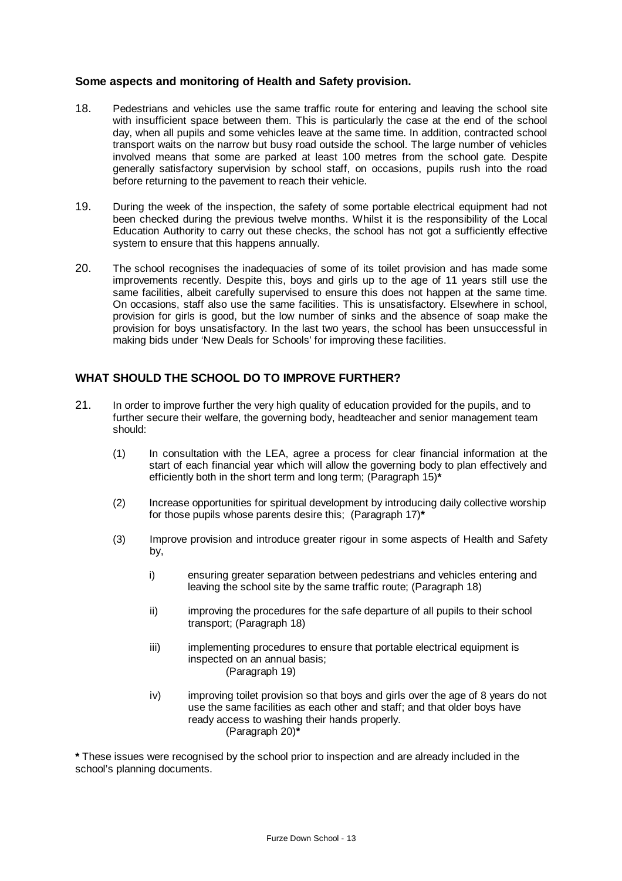#### **Some aspects and monitoring of Health and Safety provision.**

- 18. Pedestrians and vehicles use the same traffic route for entering and leaving the school site with insufficient space between them. This is particularly the case at the end of the school day, when all pupils and some vehicles leave at the same time. In addition, contracted school transport waits on the narrow but busy road outside the school. The large number of vehicles involved means that some are parked at least 100 metres from the school gate. Despite generally satisfactory supervision by school staff, on occasions, pupils rush into the road before returning to the pavement to reach their vehicle.
- 19. During the week of the inspection, the safety of some portable electrical equipment had not been checked during the previous twelve months. Whilst it is the responsibility of the Local Education Authority to carry out these checks, the school has not got a sufficiently effective system to ensure that this happens annually.
- 20. The school recognises the inadequacies of some of its toilet provision and has made some improvements recently. Despite this, boys and girls up to the age of 11 years still use the same facilities, albeit carefully supervised to ensure this does not happen at the same time. On occasions, staff also use the same facilities. This is unsatisfactory. Elsewhere in school, provision for girls is good, but the low number of sinks and the absence of soap make the provision for boys unsatisfactory. In the last two years, the school has been unsuccessful in making bids under 'New Deals for Schools' for improving these facilities.

#### **WHAT SHOULD THE SCHOOL DO TO IMPROVE FURTHER?**

- 21. In order to improve further the very high quality of education provided for the pupils, and to further secure their welfare, the governing body, headteacher and senior management team should:
	- (1) In consultation with the LEA, agree a process for clear financial information at the start of each financial year which will allow the governing body to plan effectively and efficiently both in the short term and long term; (Paragraph 15)**\***
	- (2) Increase opportunities for spiritual development by introducing daily collective worship for those pupils whose parents desire this; (Paragraph 17)**\***
	- (3) Improve provision and introduce greater rigour in some aspects of Health and Safety by,
		- i) ensuring greater separation between pedestrians and vehicles entering and leaving the school site by the same traffic route; (Paragraph 18)
		- ii) improving the procedures for the safe departure of all pupils to their school transport; (Paragraph 18)
		- iii) iii) implementing procedures to ensure that portable electrical equipment is inspected on an annual basis; (Paragraph 19)
		- iv) improving toilet provision so that boys and girls over the age of 8 years do not use the same facilities as each other and staff; and that older boys have ready access to washing their hands properly. (Paragraph 20)**\***

**\*** These issues were recognised by the school prior to inspection and are already included in the school's planning documents.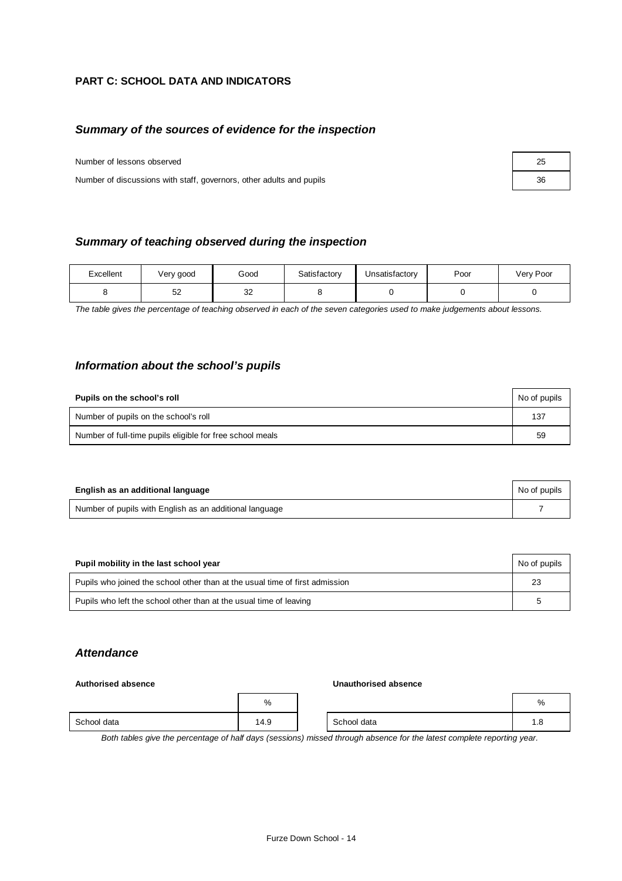## **PART C: SCHOOL DATA AND INDICATORS**

#### *Summary of the sources of evidence for the inspection*

Number of lessons observed

Number of discussions with staff, governors, other adults and pupils 36

| Summary of teaching observed during the inspection |
|----------------------------------------------------|
|----------------------------------------------------|

| Excellent | Very good | Good         | Satisfactory | Unsatisfactory | Poor | Very Poor |
|-----------|-----------|--------------|--------------|----------------|------|-----------|
|           | よつ<br>J۷  | $\sim$<br>ےں |              |                |      |           |

*The table gives the percentage of teaching observed in each of the seven categories used to make judgements about lessons.*

#### *Information about the school's pupils*

| Pupils on the school's roll                               | No of pupils |
|-----------------------------------------------------------|--------------|
| Number of pupils on the school's roll                     | 137          |
| Number of full-time pupils eligible for free school meals | 59           |

| English as an additional language                       | No of pupils |
|---------------------------------------------------------|--------------|
| Number of pupils with English as an additional language |              |

| Pupil mobility in the last school year                                       | No of pupils |
|------------------------------------------------------------------------------|--------------|
| Pupils who joined the school other than at the usual time of first admission | 23           |
| Pupils who left the school other than at the usual time of leaving           | ∽            |

#### *Attendance*

#### **Authorised absence Unauthorised absence**

|             | %    |             | %   |
|-------------|------|-------------|-----|
| School data | 14.9 | School data | 1.0 |

*Both tables give the percentage of half days (sessions) missed through absence for the latest complete reporting year.*

| 25 |  |
|----|--|
| 36 |  |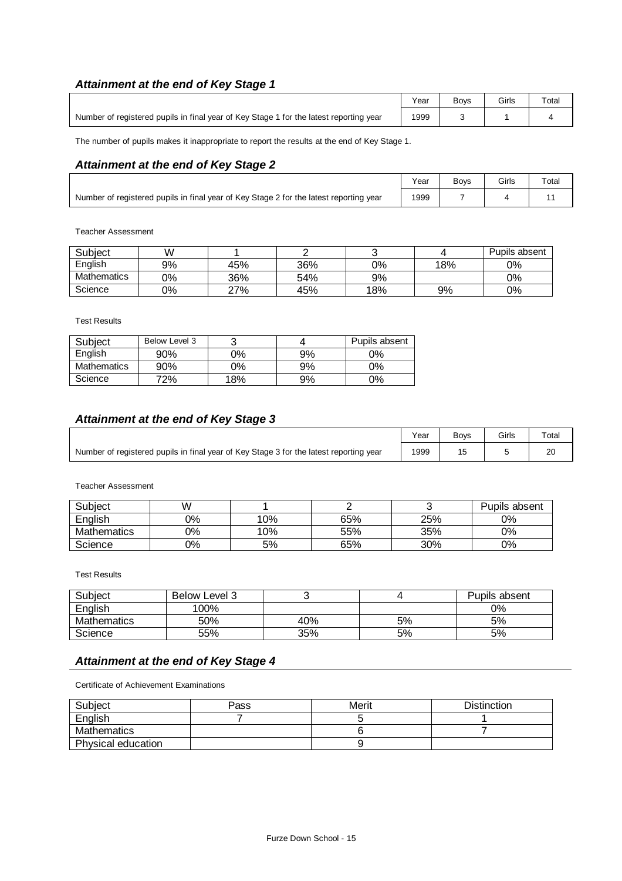# *Attainment at the end of Key Stage 1*

|                                                                                        | Year | <b>Bovs</b> | Girls | Total |
|----------------------------------------------------------------------------------------|------|-------------|-------|-------|
| Number of registered pupils in final year of Key Stage 1 for the latest reporting year | 1999 |             |       |       |

The number of pupils makes it inappropriate to report the results at the end of Key Stage 1.

## *Attainment at the end of Key Stage 2*

|                                                                                        | Year | <b>Bovs</b> | Girls | $\tau$ <sub>otal</sub> |
|----------------------------------------------------------------------------------------|------|-------------|-------|------------------------|
| Number of registered pupils in final year of Key Stage 2 for the latest reporting year | 1999 |             |       |                        |

Teacher Assessment

| Subject            | W  |     |     |     |     | Pupils absent |
|--------------------|----|-----|-----|-----|-----|---------------|
| English            | 9% | 45% | 36% | 0%  | 18% | $0\%$         |
| <b>Mathematics</b> | 0% | 36% | 54% | 9%  |     | $0\%$         |
| Science            | 0% | 27% | 45% | 18% | 9%  | 0%            |

Test Results

| Subject     | Below Level 3 |     |    | Pupils absent |
|-------------|---------------|-----|----|---------------|
| English     | 90%           | 0%  | 9% | 0%            |
| Mathematics | 90%           | 0%  | 9% | $0\%$         |
| Science     | 72%           | 18% | 9% | $0\%$         |

## *Attainment at the end of Key Stage 3*

|                                                                                        | Year | <b>Boys</b> | Girls | Total |
|----------------------------------------------------------------------------------------|------|-------------|-------|-------|
| Number of registered pupils in final year of Key Stage 3 for the latest reporting year | 1999 |             |       | 20    |

Teacher Assessment

| Subject     | W  |     |     |     | Pupils absent |
|-------------|----|-----|-----|-----|---------------|
| English     | 0% | 10% | 65% | 25% | 0%            |
| Mathematics | 0% | 10% | 55% | 35% | 0%            |
| Science     | 0% | 5%  | 65% | 30% | 0%            |

Test Results

| Subject            | <b>Below Level 3</b> |     |    | Pupils absent |
|--------------------|----------------------|-----|----|---------------|
| English            | 100%                 |     |    | 0%            |
| <b>Mathematics</b> | 50%                  | 40% | 5% | 5%            |
| Science            | 55%                  | 35% | 5% | 5%            |

## *Attainment at the end of Key Stage 4*

Certificate of Achievement Examinations

| Subject            | Pass | Merit | <b>Distinction</b> |
|--------------------|------|-------|--------------------|
| English            |      |       |                    |
| Mathematics        |      |       |                    |
| Physical education |      |       |                    |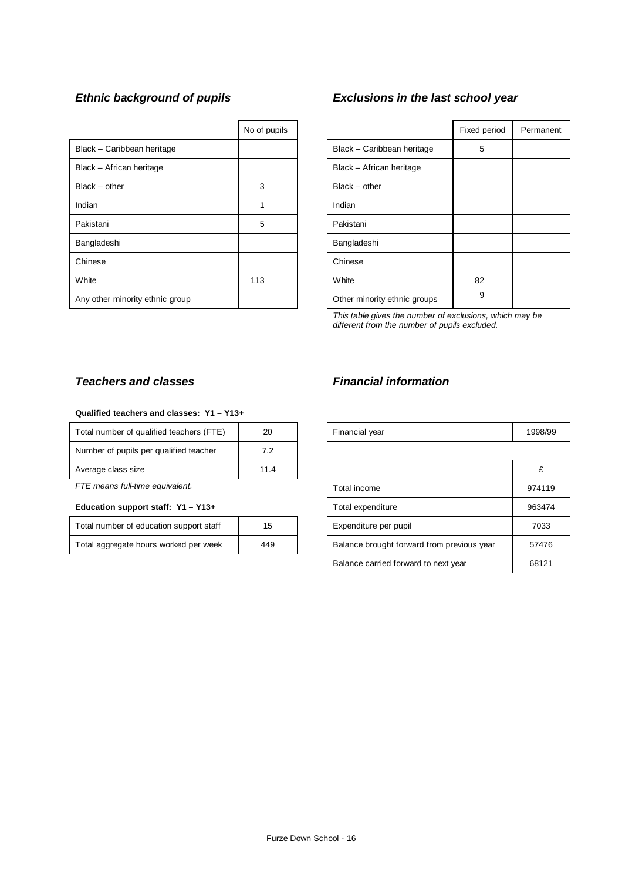|                                 | No of pupils |                              | Fixed p |
|---------------------------------|--------------|------------------------------|---------|
| Black - Caribbean heritage      |              | Black - Caribbean heritage   | 5       |
| Black - African heritage        |              | Black - African heritage     |         |
| $Black - other$                 | 3            | $Black - other$              |         |
| Indian                          | 1            | Indian                       |         |
| Pakistani                       | 5            | Pakistani                    |         |
| Bangladeshi                     |              | Bangladeshi                  |         |
| Chinese                         |              | Chinese                      |         |
| White                           | 113          | White                        | 82      |
| Any other minority ethnic group |              | Other minority ethnic groups | 9       |

# *Ethnic background of pupils Exclusions in the last school year*

| No of pupils |                              | Fixed period | Permanent |
|--------------|------------------------------|--------------|-----------|
|              | Black - Caribbean heritage   | 5            |           |
|              | Black - African heritage     |              |           |
| 3            | $Black - other$              |              |           |
| 1            | Indian                       |              |           |
| 5            | Pakistani                    |              |           |
|              | Bangladeshi                  |              |           |
|              | Chinese                      |              |           |
| 113          | White                        | 82           |           |
|              | Other minority ethnic groups | 9            |           |

*This table gives the number of exclusions, which may be different from the number of pupils excluded.*

#### **Qualified teachers and classes: Y1 – Y13+**

| Total number of qualified teachers (FTE) | 20   | Financial year | 1998 |
|------------------------------------------|------|----------------|------|
| Number of pupils per qualified teacher   | 7.2  |                |      |
| Average class size                       | 11.4 |                |      |
|                                          |      |                |      |

#### Education support staff: Y1 - Y13+

| Total number of education support staff | 15  |
|-----------------------------------------|-----|
| Total aggregate hours worked per week   | 449 |

## *Teachers and classes Financial information*

| Total number of qualified teachers (FTE) | 2C | <b>Financial vear</b> |  |
|------------------------------------------|----|-----------------------|--|
|                                          |    |                       |  |

| Average class size                      | 11.4 |                                            | £      |
|-----------------------------------------|------|--------------------------------------------|--------|
| FTE means full-time equivalent.         |      | Total income                               | 974119 |
| Education support staff: Y1 - Y13+      |      | Total expenditure                          | 963474 |
| Total number of education support staff | 15   | Expenditure per pupil                      | 7033   |
| Total aggregate hours worked per week   | 449  | Balance brought forward from previous year | 57476  |
|                                         |      | Balance carried forward to next year       | 68121  |